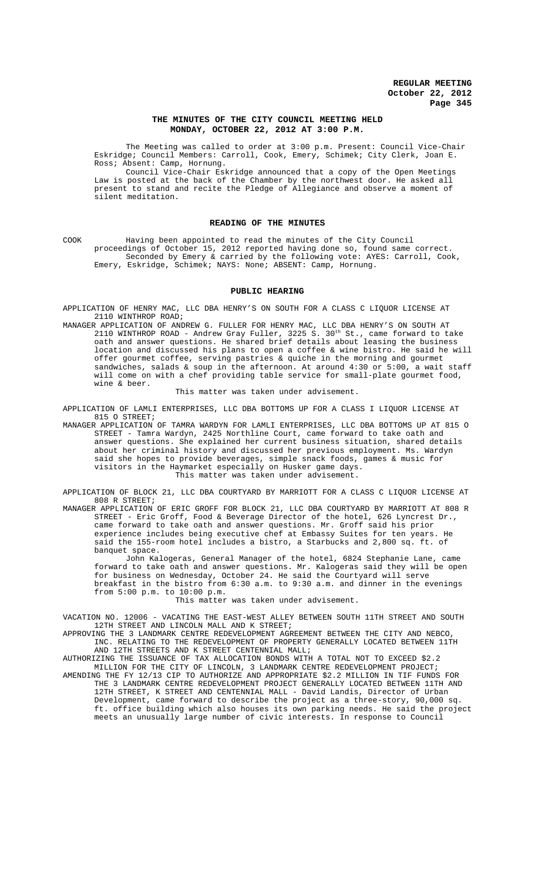## **THE MINUTES OF THE CITY COUNCIL MEETING HELD MONDAY, OCTOBER 22, 2012 AT 3:00 P.M.**

The Meeting was called to order at 3:00 p.m. Present: Council Vice-Chair Eskridge; Council Members: Carroll, Cook, Emery, Schimek; City Clerk, Joan E. Ross; Absent: Camp, Hornung.

Council Vice-Chair Eskridge announced that a copy of the Open Meetings Law is posted at the back of the Chamber by the northwest door. He asked all present to stand and recite the Pledge of Allegiance and observe a moment of silent meditation.

### **READING OF THE MINUTES**

COOK Having been appointed to read the minutes of the City Council proceedings of October 15, 2012 reported having done so, found same correct. Seconded by Emery & carried by the following vote: AYES: Carroll, Cook, Emery, Eskridge, Schimek; NAYS: None; ABSENT: Camp, Hornung.

## **PUBLIC HEARING**

APPLICATION OF HENRY MAC, LLC DBA HENRY'S ON SOUTH FOR A CLASS C LIQUOR LICENSE AT 2110 WINTHROP ROAD;

MANAGER APPLICATION OF ANDREW G. FULLER FOR HENRY MAC, LLC DBA HENRY'S ON SOUTH AT 2110 WINTHROP ROAD - Andrew Gray Fuller, 3225 S.  $30^{th}$  St., came forward to take oath and answer questions. He shared brief details about leasing the business location and discussed his plans to open a coffee & wine bistro. He said he will offer gourmet coffee, serving pastries & quiche in the morning and gourmet sandwiches, salads & soup in the afternoon. At around 4:30 or 5:00, a wait staff will come on with a chef providing table service for small-plate gourmet food, wine & beer.

#### This matter was taken under advisement.

APPLICATION OF LAMLI ENTERPRISES, LLC DBA BOTTOMS UP FOR A CLASS I LIQUOR LICENSE AT 815 O STREET;

MANAGER APPLICATION OF TAMRA WARDYN FOR LAMLI ENTERPRISES, LLC DBA BOTTOMS UP AT 815 O STREET - Tamra Wardyn, 2425 Northline Court, came forward to take oath and answer questions. She explained her current business situation, shared details about her criminal history and discussed her previous employment. Ms. Wardyn said she hopes to provide beverages, simple snack foods, games & music for visitors in the Haymarket especially on Husker game days. This matter was taken under advisement.

APPLICATION OF BLOCK 21, LLC DBA COURTYARD BY MARRIOTT FOR A CLASS C LIQUOR LICENSE AT 808 R STREET;

MANAGER APPLICATION OF ERIC GROFF FOR BLOCK 21, LLC DBA COURTYARD BY MARRIOTT AT 808 R STREET - Eric Groff, Food & Beverage Director of the hotel, 626 Lyncrest Dr., came forward to take oath and answer questions. Mr. Groff said his prior experience includes being executive chef at Embassy Suites for ten years. He said the 155-room hotel includes a bistro, a Starbucks and 2,800 sq. ft. of banquet space.

John Kalogeras, General Manager of the hotel, 6824 Stephanie Lane, came forward to take oath and answer questions. Mr. Kalogeras said they will be open for business on Wednesday, October 24. He said the Courtyard will serve breakfast in the bistro from 6:30 a.m. to 9:30 a.m. and dinner in the evenings from 5:00 p.m. to 10:00 p.m.

#### This matter was taken under advisement.

VACATION NO. 12006 - VACATING THE EAST-WEST ALLEY BETWEEN SOUTH 11TH STREET AND SOUTH 12TH STREET AND LINCOLN MALL AND K STREET;

APPROVING THE 3 LANDMARK CENTRE REDEVELOPMENT AGREEMENT BETWEEN THE CITY AND NEBCO, INC. RELATING TO THE REDEVELOPMENT OF PROPERTY GENERALLY LOCATED BETWEEN 11TH AND 12TH STREETS AND K STREET CENTENNIAL MALL;

AUTHORIZING THE ISSUANCE OF TAX ALLOCATION BONDS WITH A TOTAL NOT TO EXCEED \$2.2 MILLION FOR THE CITY OF LINCOLN, 3 LANDMARK CENTRE REDEVELOPMENT PROJECT;

AMENDING THE FY 12/13 CIP TO AUTHORIZE AND APPROPRIATE \$2.2 MILLION IN TIF FUNDS FOR THE 3 LANDMARK CENTRE REDEVELOPMENT PROJECT GENERALLY LOCATED BETWEEN 11TH AND 12TH STREET, K STREET AND CENTENNIAL MALL - David Landis, Director of Urban Development, came forward to describe the project as a three-story, 90,000 sq. ft. office building which also houses its own parking needs. He said the project meets an unusually large number of civic interests. In response to Council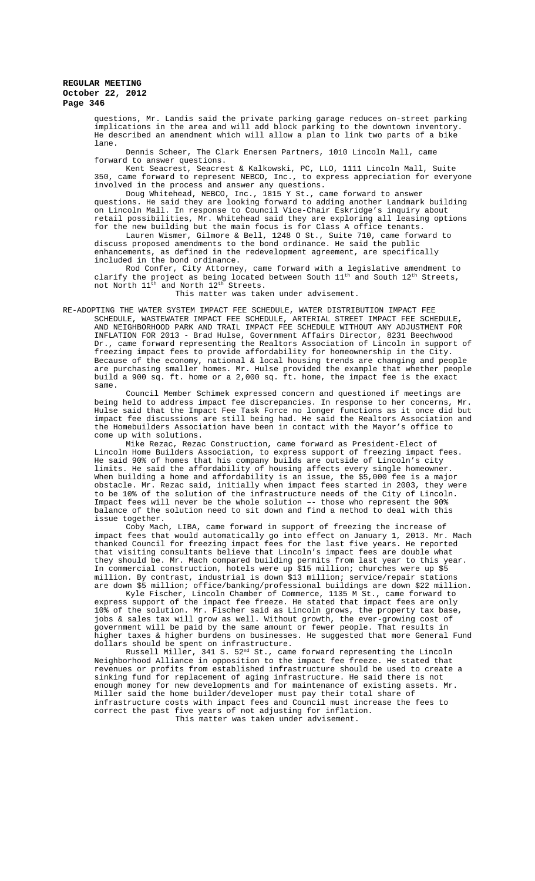questions, Mr. Landis said the private parking garage reduces on-street parking implications in the area and will add block parking to the downtown inventory. He described an amendment which will allow a plan to link two parts of a bike lane.

Dennis Scheer, The Clark Enersen Partners, 1010 Lincoln Mall, came forward to answer questions.

Kent Seacrest, Seacrest & Kalkowski, PC, LLO, 1111 Lincoln Mall, Suite 350, came forward to represent NEBCO, Inc., to express appreciation for everyone involved in the process and answer any questions.

Doug Whitehead, NEBCO, Inc., 1815 Y St., came forward to answer questions. He said they are looking forward to adding another Landmark building on Lincoln Mall. In response to Council Vice-Chair Eskridge's inquiry about retail possibilities, Mr. Whitehead said they are exploring all leasing options for the new building but the main focus is for Class A office tenants.

Lauren Wismer, Gilmore & Bell, 1248 O St., Suite 710, came forward to discuss proposed amendments to the bond ordinance. He said the public enhancements, as defined in the redevelopment agreement, are specifically included in the bond ordinance.

Rod Confer, City Attorney, came forward with a legislative amendment to clarify the project as being located between South  $11^{\text{th}}$  and South  $12^{\text{th}}$  Streets, not North  $11^{\text{th}}$  and North  $12^{\text{th}}$  Streets.

This matter was taken under advisement.

RE-ADOPTING THE WATER SYSTEM IMPACT FEE SCHEDULE, WATER DISTRIBUTION IMPACT FEE SCHEDULE, WASTEWATER IMPACT FEE SCHEDULE, ARTERIAL STREET IMPACT FEE SCHEDULE, AND NEIGHBORHOOD PARK AND TRAIL IMPACT FEE SCHEDULE WITHOUT ANY ADJUSTMENT FOR INFLATION FOR 2013 - Brad Hulse, Government Affairs Director, 8231 Beechwood Dr., came forward representing the Realtors Association of Lincoln in support of freezing impact fees to provide affordability for homeownership in the City. Because of the economy, national & local housing trends are changing and people are purchasing smaller homes. Mr. Hulse provided the example that whether people build a 900 sq. ft. home or a 2,000 sq. ft. home, the impact fee is the exact same.

Council Member Schimek expressed concern and questioned if meetings are being held to address impact fee discrepancies. In response to her concerns, Mr. Hulse said that the Impact Fee Task Force no longer functions as it once did but impact fee discussions are still being had. He said the Realtors Association and the Homebuilders Association have been in contact with the Mayor's office to come up with solutions.

.<br>Mike Rezac, Rezac Construction, came forward as President-Elect of Lincoln Home Builders Association, to express support of freezing impact fees. He said 90% of homes that his company builds are outside of Lincoln's city limits. He said the affordability of housing affects every single homeowner. When building a home and affordability is an issue, the  $$5,000$  fee is a major obstacle. Mr. Rezac said, initially when impact fees started in 2003, they were to be 10% of the solution of the infrastructure needs of the City of Lincoln. Impact fees will never be the whole solution –- those who represent the 90% balance of the solution need to sit down and find a method to deal with this issue together.

Coby Mach, LIBA, came forward in support of freezing the increase of impact fees that would automatically go into effect on January 1, 2013. Mr. Mach thanked Council for freezing impact fees for the last five years. He reported that visiting consultants believe that Lincoln's impact fees are double what they should be. Mr. Mach compared building permits from last year to this year. In commercial construction, hotels were up \$15 million; churches were up \$5 million. By contrast, industrial is down \$13 million; service/repair stations are down \$5 million; office/banking/professional buildings are down \$22 million.

Kyle Fischer, Lincoln Chamber of Commerce, 1135 M St., came forward to express support of the impact fee freeze. He stated that impact fees are only 10% of the solution. Mr. Fischer said as Lincoln grows, the property tax base, jobs & sales tax will grow as well. Without growth, the ever-growing cost of government will be paid by the same amount or fewer people. That results in higher taxes & higher burdens on businesses. He suggested that more General Fund dollars should be spent on infrastructure.

Russell Miller, 341 S.  $52^{\text{nd}}$  St., came forward representing the Lincoln Neighborhood Alliance in opposition to the impact fee freeze. He stated that revenues or profits from established infrastructure should be used to create a sinking fund for replacement of aging infrastructure. He said there is not enough money for new developments and for maintenance of existing assets. Mr. Miller said the home builder/developer must pay their total share of infrastructure costs with impact fees and Council must increase the fees to correct the past five years of not adjusting for inflation. This matter was taken under advisement.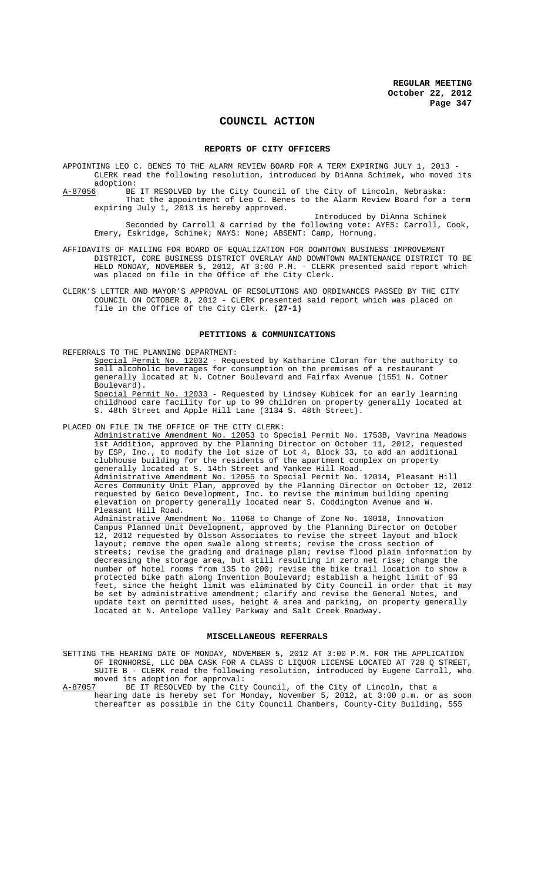# **COUNCIL ACTION**

#### **REPORTS OF CITY OFFICERS**

- APPOINTING LEO C. BENES TO THE ALARM REVIEW BOARD FOR A TERM EXPIRING JULY 1, 2013 CLERK read the following resolution, introduced by DiAnna Schimek, who moved its
- adoption:<br><u>A-87056</u> BE BE IT RESOLVED by the City Council of the City of Lincoln, Nebraska: That the appointment of Leo C. Benes to the Alarm Review Board for a term expiring July 1, 2013 is hereby approved.

Introduced by DiAnna Schimek Seconded by Carroll & carried by the following vote: AYES: Carroll, Cook, Emery, Eskridge, Schimek; NAYS: None; ABSENT: Camp, Hornung.

- AFFIDAVITS OF MAILING FOR BOARD OF EQUALIZATION FOR DOWNTOWN BUSINESS IMPROVEMENT DISTRICT, CORE BUSINESS DISTRICT OVERLAY AND DOWNTOWN MAINTENANCE DISTRICT TO BE HELD MONDAY, NOVEMBER 5, 2012, AT 3:00 P.M. - CLERK presented said report which was placed on file in the Office of the City Clerk.
- CLERK'S LETTER AND MAYOR'S APPROVAL OF RESOLUTIONS AND ORDINANCES PASSED BY THE CITY COUNCIL ON OCTOBER 8, 2012 - CLERK presented said report which was placed on file in the Office of the City Clerk. **(27-1)**

#### **PETITIONS & COMMUNICATIONS**

REFERRALS TO THE PLANNING DEPARTMENT:

Special Permit No. 12032 - Requested by Katharine Cloran for the authority to sell alcoholic beverages for consumption on the premises of a restaurant generally located at N. Cotner Boulevard and Fairfax Avenue (1551 N. Cotner Boulevard).<br>Special Permit No.

12033 - Requested by Lindsey Kubicek for an early learning childhood care facility for up to 99 children on property generally located at S. 48th Street and Apple Hill Lane (3134 S. 48th Street).

# PLACED ON FILE IN THE OFFICE OF THE CITY CLERK:

Administrative Amendment No. 12053 to Special Permit No. 1753B, Vavrina Meadows 1st Addition, approved by the Planning Director on October 11, 2012, requested by ESP, Inc., to modify the lot size of Lot 4, Block 33, to add an additional clubhouse building for the residents of the apartment complex on property generally located at S. 14th Street and Yankee Hill Road. Administrative Amendment No. 12055 to Special Permit No. 12014, Pleasant Hill Acres Community Unit Plan, approved by the Planning Director on October 12, 2012 requested by Geico Development, Inc. to revise the minimum building opening elevation on property generally located near S. Coddington Avenue and W. Pleasant Hill Road.

Administrative Amendment No. 11068 to Change of Zone No. 10018, Innovation Campus Planned Unit Development, approved by the Planning Director on October 12, 2012 requested by Olsson Associates to revise the street layout and block layout; remove the open swale along streets; revise the cross section of streets; revise the grading and drainage plan; revise flood plain information by decreasing the storage area, but still resulting in zero net rise; change the number of hotel rooms from 135 to 200; revise the bike trail location to show a protected bike path along Invention Boulevard; establish a height limit of 93 feet, since the height limit was eliminated by City Council in order that it may be set by administrative amendment; clarify and revise the General Notes, and update text on permitted uses, height & area and parking, on property generally located at N. Antelope Valley Parkway and Salt Creek Roadway.

#### **MISCELLANEOUS REFERRALS**

SETTING THE HEARING DATE OF MONDAY, NOVEMBER 5, 2012 AT 3:00 P.M. FOR THE APPLICATION OF IRONHORSE, LLC DBA CASK FOR A CLASS C LIQUOR LICENSE LOCATED AT 728 Q STREET, SUITE B - CLERK read the following resolution, introduced by Eugene Carroll, who moved its adoption for approval:<br>A-87057 BE IT RESOLVED by the City

BE IT RESOLVED by the City Council, of the City of Lincoln, that a hearing date is hereby set for Monday, November 5, 2012, at 3:00 p.m. or as soon thereafter as possible in the City Council Chambers, County-City Building, 555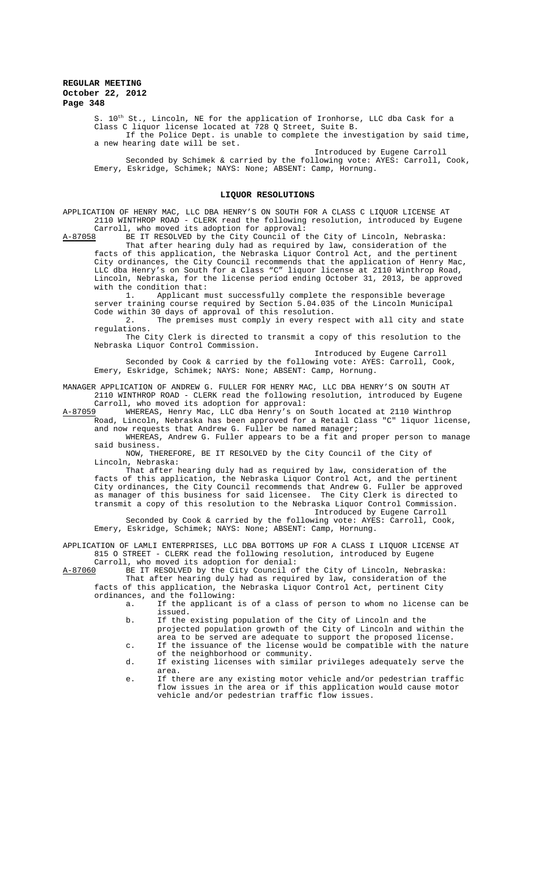S.  $10^{\text{th}}$  St., Lincoln, NE for the application of Ironhorse, LLC dba Cask for a Class C liquor license located at 728 Q Street, Suite B.

If the Police Dept. is unable to complete the investigation by said time, a new hearing date will be set.

Introduced by Eugene Carroll Seconded by Schimek & carried by the following vote: AYES: Carroll, Cook, Emery, Eskridge, Schimek; NAYS: None; ABSENT: Camp, Hornung.

#### **LIQUOR RESOLUTIONS**

APPLICATION OF HENRY MAC, LLC DBA HENRY'S ON SOUTH FOR A CLASS C LIQUOR LICENSE AT 2110 WINTHROP ROAD - CLERK read the following resolution, introduced by Eugene Carroll, who moved its adoption for approval:

A-87058 BE IT RESOLVED by the City Council of the City of Lincoln, Nebraska: That after hearing duly had as required by law, consideration of the facts of this application, the Nebraska Liquor Control Act, and the pertinent City ordinances, the City Council recommends that the application of Henry Mac, LLC dba Henry's on South for a Class "C" liquor license at 2110 Winthrop Road, Lincoln, Nebraska, for the license period ending October 31, 2013, be approved

with the condition that:<br>1. Applicant m 1. Applicant must successfully complete the responsible beverage server training course required by Section 5.04.035 of the Lincoln Municipal

Code within 30 days of approval of this resolution. 2. The premises must comply in every respect with all city and state regulations.

The City Clerk is directed to transmit a copy of this resolution to the Nebraska Liquor Control Commission.

Introduced by Eugene Carroll

Seconded by Cook & carried by the following vote: AYES: Carroll, Cook, Emery, Eskridge, Schimek; NAYS: None; ABSENT: Camp, Hornung.

MANAGER APPLICATION OF ANDREW G. FULLER FOR HENRY MAC, LLC DBA HENRY'S ON SOUTH AT 2110 WINTHROP ROAD - CLERK read the following resolution, introduced by Eugene Carroll, who moved its adoption for approval:

A-87059 WHEREAS, Henry Mac, LLC dba Henry's on South located at 2110 Winthrop Road, Lincoln, Nebraska has been approved for a Retail Class "C" liquor license, and now requests that Andrew G. Fuller be named manager;

WHEREAS, Andrew G. Fuller appears to be a fit and proper person to manage said business.

NOW, THEREFORE, BE IT RESOLVED by the City Council of the City of Lincoln, Nebraska:

That after hearing duly had as required by law, consideration of the facts of this application, the Nebraska Liquor Control Act, and the pertinent City ordinances, the City Council recommends that Andrew G. Fuller be approved as manager of this business for said licensee. The City Clerk is directed to transmit a copy of this resolution to the Nebraska Liquor Control Commission. Introduced by Eugene Carroll

Seconded by Cook & carried by the following vote: AYES: Carroll, Cook, Emery, Eskridge, Schimek; NAYS: None; ABSENT: Camp, Hornung.

APPLICATION OF LAMLI ENTERPRISES, LLC DBA BOTTOMS UP FOR A CLASS I LIQUOR LICENSE AT 815 O STREET - CLERK read the following resolution, introduced by Eugene

Carroll, who moved its adoption for denial:<br>A-87060 BE IT RESOLVED by the City Council of A-87060 BE IT RESOLVED by the City Council of the City of Lincoln, Nebraska: That after hearing duly had as required by law, consideration of the facts of this application, the Nebraska Liquor Control Act, pertinent City

ordinances, and the following: a. If the applicant is of a class of person to whom no license can be

issued. b. If the existing population of the City of Lincoln and the

- projected population growth of the City of Lincoln and within the area to be served are adequate to support the proposed license.
- c. If the issuance of the license would be compatible with the nature of the neighborhood or community.
- d. If existing licenses with similar privileges adequately serve the area.
- e. If there are any existing motor vehicle and/or pedestrian traffic flow issues in the area or if this application would cause motor vehicle and/or pedestrian traffic flow issues.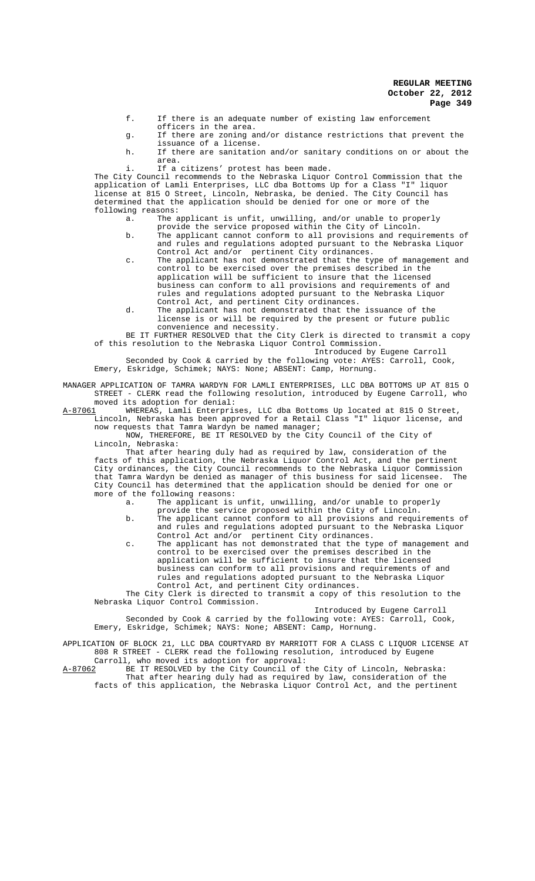- f. If there is an adequate number of existing law enforcement
- officers in the area. g. If there are zoning and/or distance restrictions that prevent the issuance of a license.
- h. If there are sanitation and/or sanitary conditions on or about the area.
- i. If a citizens' protest has been made.

The City Council recommends to the Nebraska Liquor Control Commission that the application of Lamli Enterprises, LLC dba Bottoms Up for a Class "I" liquor license at 815 O Street, Lincoln, Nebraska, be denied. The City Council has determined that the application should be denied for one or more of the following reasons:

- a. The applicant is unfit, unwilling, and/or unable to properly
- provide the service proposed within the City of Lincoln. b. The applicant cannot conform to all provisions and requirements of and rules and regulations adopted pursuant to the Nebraska Liquor Control Act and/or pertinent City ordinances.
- c. The applicant has not demonstrated that the type of management and control to be exercised over the premises described in the application will be sufficient to insure that the licensed business can conform to all provisions and requirements of and rules and regulations adopted pursuant to the Nebraska Liquor Control Act, and pertinent City ordinances.
- d. The applicant has not demonstrated that the issuance of the license is or will be required by the present or future public convenience and necessity.

BE IT FURTHER RESOLVED that the City Clerk is directed to transmit a copy of this resolution to the Nebraska Liquor Control Commission.

Introduced by Eugene Carroll Seconded by Cook & carried by the following vote: AYES: Carroll, Cook,

Emery, Eskridge, Schimek; NAYS: None; ABSENT: Camp, Hornung.

MANAGER APPLICATION OF TAMRA WARDYN FOR LAMLI ENTERPRISES, LLC DBA BOTTOMS UP AT 815 O STREET - CLERK read the following resolution, introduced by Eugene Carroll, who

moved its adoption for denial:<br>A-87061 WHEREAS, Lamli Enterpris WHEREAS, Lamli Enterprises, LLC dba Bottoms Up located at 815 O Street, Lincoln, Nebraska has been approved for a Retail Class "I" liquor license, and now requests that Tamra Wardyn be named manager;

NOW, THEREFORE, BE IT RESOLVED by the City Council of the City of Lincoln, Nebraska:

That after hearing duly had as required by law, consideration of the facts of this application, the Nebraska Liquor Control Act, and the pertinent City ordinances, the City Council recommends to the Nebraska Liquor Commission that Tamra Wardyn be denied as manager of this business for said licensee. The City Council has determined that the application should be denied for one or more of the following reasons:<br>a. The applicant is

The applicant is unfit, unwilling, and/or unable to properly

- provide the service proposed within the City of Lincoln. b. The applicant cannot conform to all provisions and requirements of and rules and regulations adopted pursuant to the Nebraska Liquor Control Act and/or pertinent City ordinances.
- c. The applicant has not demonstrated that the type of management and control to be exercised over the premises described in the application will be sufficient to insure that the licensed business can conform to all provisions and requirements of and rules and regulations adopted pursuant to the Nebraska Liquor Control Act, and pertinent City ordinances.

The City Clerk is directed to transmit a copy of this resolution to the Nebraska Liquor Control Commission.

Introduced by Eugene Carroll

Seconded by Cook & carried by the following vote: AYES: Carroll, Cook, Emery, Eskridge, Schimek; NAYS: None; ABSENT: Camp, Hornung.

APPLICATION OF BLOCK 21, LLC DBA COURTYARD BY MARRIOTT FOR A CLASS C LIQUOR LICENSE AT 808 R STREET - CLERK read the following resolution, introduced by Eugene

Carroll, who moved its adoption for approval:<br>A-87062 BE IT RESOLVED by the City Council of t BE IT RESOLVED by the City Council of the City of Lincoln, Nebraska: That after hearing duly had as required by law, consideration of the facts of this application, the Nebraska Liquor Control Act, and the pertinent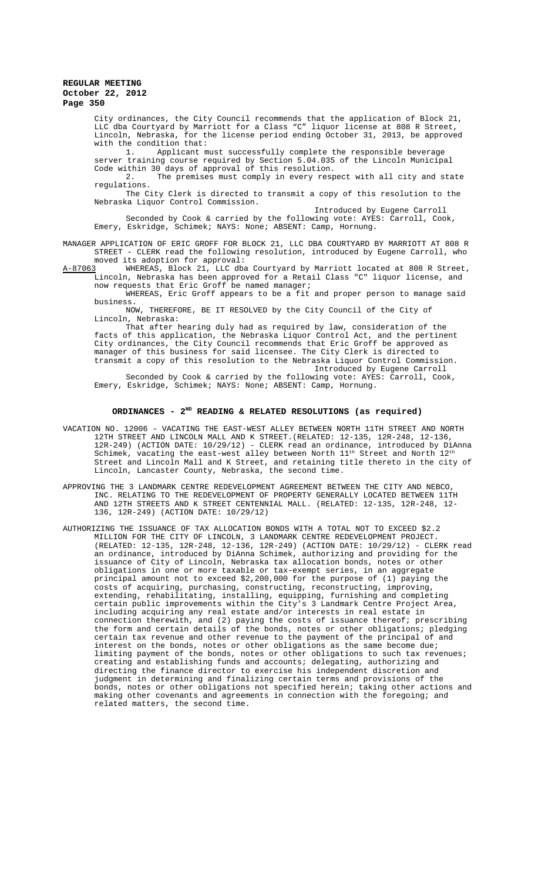City ordinances, the City Council recommends that the application of Block 21, LLC dba Courtyard by Marriott for a Class "C" liquor license at 808 R Street, Lincoln, Nebraska, for the license period ending October 31, 2013, be approved with the condition that:

1. Applicant must successfully complete the responsible beverage server training course required by Section 5.04.035 of the Lincoln Municipal Code within 30 days of approval of this resolution.

2. The premises must comply in every respect with all city and state regulations.

The City Clerk is directed to transmit a copy of this resolution to the Nebraska Liquor Control Commission.

Introduced by Eugene Carroll

Seconded by Cook & carried by the following vote: AYES: Carroll, Cook, Emery, Eskridge, Schimek; NAYS: None; ABSENT: Camp, Hornung.

MANAGER APPLICATION OF ERIC GROFF FOR BLOCK 21, LLC DBA COURTYARD BY MARRIOTT AT 808 R STREET - CLERK read the following resolution, introduced by Eugene Carroll, who moved its adoption for approval:<br>A-87063 WHEREAS, Block 21, LLC dba

WHEREAS, Block 21, LLC dba Courtyard by Marriott located at 808 R Street, Lincoln, Nebraska has been approved for a Retail Class "C" liquor license, and now requests that Eric Groff be named manager;

WHEREAS, Eric Groff appears to be a fit and proper person to manage said business.

NOW, THEREFORE, BE IT RESOLVED by the City Council of the City of Lincoln, Nebraska:

That after hearing duly had as required by law, consideration of the facts of this application, the Nebraska Liquor Control Act, and the pertinent City ordinances, the City Council recommends that Eric Groff be approved as manager of this business for said licensee. The City Clerk is directed to transmit a copy of this resolution to the Nebraska Liquor Control Commission. Introduced by Eugene Carroll

Seconded by Cook & carried by the following vote: AYES: Carroll, Cook, Emery, Eskridge, Schimek; NAYS: None; ABSENT: Camp, Hornung.

## **ORDINANCES - 2ND READING & RELATED RESOLUTIONS (as required)**

- VACATION NO. 12006 VACATING THE EAST-WEST ALLEY BETWEEN NORTH 11TH STREET AND NORTH 12TH STREET AND LINCOLN MALL AND K STREET.(RELATED: 12-135, 12R-248, 12-136, 12R-249) (ACTION DATE: 10/29/12) - CLERK read an ordinance, introduced by DiAnna Schimek, vacating the east-west alley between North 11<sup>th</sup> Street and North 12<sup>th</sup> Street and Lincoln Mall and K Street, and retaining title thereto in the city of Lincoln, Lancaster County, Nebraska, the second time.
- APPROVING THE 3 LANDMARK CENTRE REDEVELOPMENT AGREEMENT BETWEEN THE CITY AND NEBCO, INC. RELATING TO THE REDEVELOPMENT OF PROPERTY GENERALLY LOCATED BETWEEN 11TH AND 12TH STREETS AND K STREET CENTENNIAL MALL. (RELATED: 12-135, 12R-248, 12- 136, 12R-249) (ACTION DATE: 10/29/12)
- AUTHORIZING THE ISSUANCE OF TAX ALLOCATION BONDS WITH A TOTAL NOT TO EXCEED \$2.2 MILLION FOR THE CITY OF LINCOLN, 3 LANDMARK CENTRE REDEVELOPMENT PROJECT. (RELATED: 12-135, 12R-248, 12-136, 12R-249) (ACTION DATE: 10/29/12) - CLERK read an ordinance, introduced by DiAnna Schimek, authorizing and providing for the issuance of City of Lincoln, Nebraska tax allocation bonds, notes or other obligations in one or more taxable or tax-exempt series, in an aggregate principal amount not to exceed \$2,200,000 for the purpose of (1) paying the costs of acquiring, purchasing, constructing, reconstructing, improving, extending, rehabilitating, installing, equipping, furnishing and completing certain public improvements within the City's 3 Landmark Centre Project Area, including acquiring any real estate and/or interests in real estate in connection therewith, and (2) paying the costs of issuance thereof; prescribing the form and certain details of the bonds, notes or other obligations; pledging certain tax revenue and other revenue to the payment of the principal of and interest on the bonds, notes or other obligations as the same become due; limiting payment of the bonds, notes or other obligations to such tax revenues; creating and establishing funds and accounts; delegating, authorizing and directing the finance director to exercise his independent discretion and judgment in determining and finalizing certain terms and provisions of the bonds, notes or other obligations not specified herein; taking other actions and making other covenants and agreements in connection with the foregoing; and related matters, the second time.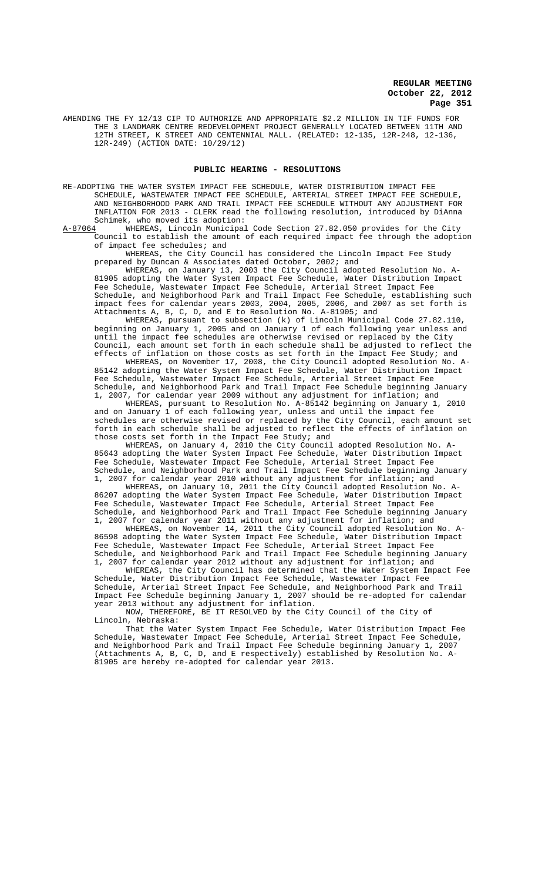AMENDING THE FY 12/13 CIP TO AUTHORIZE AND APPROPRIATE \$2.2 MILLION IN TIF FUNDS FOR THE 3 LANDMARK CENTRE REDEVELOPMENT PROJECT GENERALLY LOCATED BETWEEN 11TH AND 12TH STREET, K STREET AND CENTENNIAL MALL. (RELATED: 12-135, 12R-248, 12-136, 12R-249) (ACTION DATE: 10/29/12)

#### **PUBLIC HEARING - RESOLUTIONS**

RE-ADOPTING THE WATER SYSTEM IMPACT FEE SCHEDULE, WATER DISTRIBUTION IMPACT FEE SCHEDULE, WASTEWATER IMPACT FEE SCHEDULE, ARTERIAL STREET IMPACT FEE SCHEDULE, AND NEIGHBORHOOD PARK AND TRAIL IMPACT FEE SCHEDULE WITHOUT ANY ADJUSTMENT FOR INFLATION FOR 2013 - CLERK read the following resolution, introduced by DiAnna Schimek, who moved its adoption:<br>A-87064 WHEREAS, Lincoln Municipal

WHEREAS, Lincoln Municipal Code Section 27.82.050 provides for the City Council to establish the amount of each required impact fee through the adoption of impact fee schedules; and

WHEREAS, the City Council has considered the Lincoln Impact Fee Study prepared by Duncan & Associates dated October, 2002; and

WHEREAS, on January 13, 2003 the City Council adopted Resolution No. A-81905 adopting the Water System Impact Fee Schedule, Water Distribution Impact<br>Fee Schedule, Wastewater Impact Fee Schedule, Arterial Street Impact Fee Wastewater Impact Fee Schedule, Arterial Street Impact Fee<br>Neighborhood Park and Trail Impact Fee Schedule, establishing such Schedule, and Neighborhood Park and Trail Impact Fee Schedule, establishing such impact fees for calendar years 2003, 2004, 2005, 2006, and 2007 as set forth is Attachments A, B, C, D, and E to Resolution No. A-81905; and

WHEREAS, pursuant to subsection (k) of Lincoln Municipal Code 27.82.110, beginning on January 1, 2005 and on January 1 of each following year unless and until the impact fee schedules are otherwise revised or replaced by the City Council, each amount set forth in each schedule shall be adjusted to reflect the effects of inflation on those costs as set forth in the Impact Fee Study; and

WHEREAS, on November 17, 2008, the City Council adopted Resolution No. A-85142 adopting the Water System Impact Fee Schedule, Water Distribution Impact Fee Schedule, Wastewater Impact Fee Schedule, Arterial Street Impact Fee Schedule, and Neighborhood Park and Trail Impact Fee Schedule beginning January 1, 2007, for calendar year 2009 without any adjustment for inflation; and

WHEREAS, pursuant to Resolution No. A-85142 beginning on January 1, 2010 and on January 1 of each following year, unless and until the impact fee schedules are otherwise revised or replaced by the City Council, each amount set forth in each schedule shall be adjusted to reflect the effects of inflation on those costs set forth in the Impact Fee Study; and

WHEREAS, on January 4, 2010 the City Council adopted Resolution No. A-85643 adopting the Water System Impact Fee Schedule, Water Distribution Impact Fee Schedule, Wastewater Impact Fee Schedule, Arterial Street Impact Fee Schedule, and Neighborhood Park and Trail Impact Fee Schedule beginning January 1, 2007 for calendar year 2010 without any adjustment for inflation; and

WHEREAS, on January 10, 2011 the City Council adopted Resolution No. A-86207 adopting the Water System Impact Fee Schedule, Water Distribution Impact Fee Schedule, Wastewater Impact Fee Schedule, Arterial Street Impact Fee Schedule, and Neighborhood Park and Trail Impact Fee Schedule beginning January 1, 2007 for calendar year 2011 without any adjustment for inflation; and

WHEREAS, on November 14, 2011 the City Council adopted Resolution No. A-86598 adopting the Water System Impact Fee Schedule, Water Distribution Impact Fee Schedule, Wastewater Impact Fee Schedule, Arterial Street Impact Fee Schedule, and Neighborhood Park and Trail Impact Fee Schedule beginning January 1, 2007 for calendar year 2012 without any adjustment for inflation; and

WHEREAS, the City Council has determined that the Water System Impact Fee Schedule, Water Distribution Impact Fee Schedule, Wastewater Impact Fee Schedule, Arterial Street Impact Fee Schedule, and Neighborhood Park and Trail Impact Fee Schedule beginning January 1, 2007 should be re-adopted for calendar year 2013 without any adjustment for inflation.

NOW, THEREFORE, BE IT RESOLVED by the City Council of the City of Lincoln, Nebraska:

That the Water System Impact Fee Schedule, Water Distribution Impact Fee Schedule, Wastewater Impact Fee Schedule, Arterial Street Impact Fee Schedule, and Neighborhood Park and Trail Impact Fee Schedule beginning January 1, (Attachments A, B, C, D, and E respectively) established by Resolution No. A-81905 are hereby re-adopted for calendar year 2013.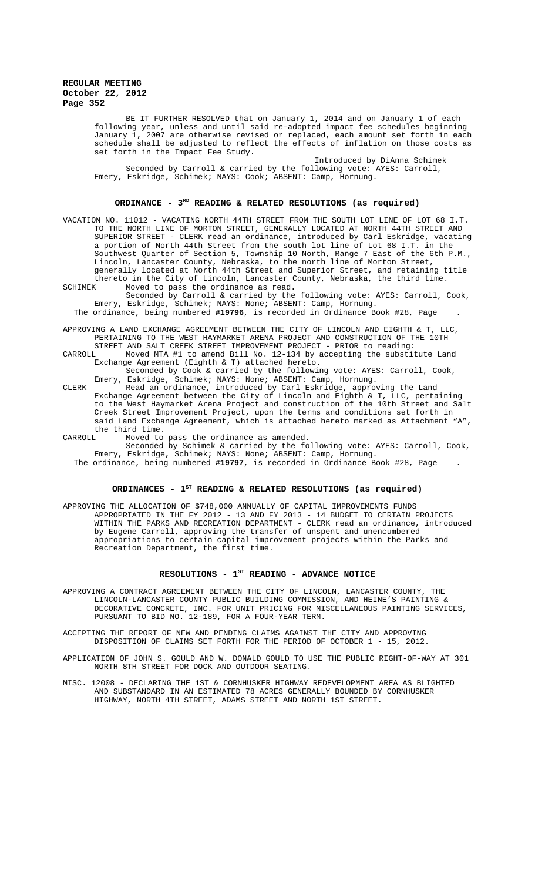BE IT FURTHER RESOLVED that on January 1, 2014 and on January 1 of each following year, unless and until said re-adopted impact fee schedules beginning January 1, 2007 are otherwise revised or replaced, each amount set forth in each schedule shall be adjusted to reflect the effects of inflation on those costs as set forth in the Impact Fee Study.

Introduced by DiAnna Schimek Seconded by Carroll & carried by the following vote: AYES: Carroll, Emery, Eskridge, Schimek; NAYS: Cook; ABSENT: Camp, Hornung.

### **ORDINANCE - 3RD READING & RELATED RESOLUTIONS (as required)**

VACATION NO. 11012 - VACATING NORTH 44TH STREET FROM THE SOUTH LOT LINE OF LOT 68 I.T. TO THE NORTH LINE OF MORTON STREET, GENERALLY LOCATED AT NORTH 44TH STREET AND SUPERIOR STREET - CLERK read an ordinance, introduced by Carl Eskridge, vacating a portion of North 44th Street from the south lot line of Lot 68 I.T. in the Southwest Quarter of Section 5, Township 10 North, Range 7 East of the 6th P.M., Lincoln, Lancaster County, Nebraska, to the north line of Morton Street, generally located at North 44th Street and Superior Street, and retaining title thereto in the City of Lincoln, Lancaster County, Nebraska, the third time.

SCHIMEK Moved to pass the ordinance as read. Seconded by Carroll & carried by the following vote: AYES: Carroll, Cook, Emery, Eskridge, Schimek; NAYS: None; ABSENT: Camp, Hornung. The ordinance, being numbered **#19796**, is recorded in Ordinance Book #28, Page .

APPROVING A LAND EXCHANGE AGREEMENT BETWEEN THE CITY OF LINCOLN AND EIGHTH & T, LLC, PERTAINING TO THE WEST HAYMARKET ARENA PROJECT AND CONSTRUCTION OF THE 10TH

STREET AND SALT CREEK STREET IMPROVEMENT PROJECT - PRIOR to reading:<br>CARROLL, Moved MTA #1 to amend Rill No. 12-134 by accepting the substi Moved MTA #1 to amend Bill No. 12-134 by accepting the substitute Land Exchange Agreement (Eighth & T) attached hereto.

Seconded by Cook & carried by the following vote: AYES: Carroll, Cook, Emery, Eskridge, Schimek; NAYS: None; ABSENT: Camp, Hornung.

CLERK Read an ordinance, introduced by Carl Eskridge, approving the Land Exchange Agreement between the City of Lincoln and Eighth & T, LLC, pertaining to the West Haymarket Arena Project and construction of the 10th Street and Salt Creek Street Improvement Project, upon the terms and conditions set forth in said Land Exchange Agreement, which is attached hereto marked as Attachment "A", the third time.<br>CARROLL Moved to

Moved to pass the ordinance as amended. Seconded by Schimek & carried by the following vote: AYES: Carroll, Cook,

Emery, Eskridge, Schimek; NAYS: None; ABSENT: Camp, Hornung. The ordinance, being numbered **#19797**, is recorded in Ordinance Book #28, Page .

# ORDINANCES - 1<sup>st</sup> READING & RELATED RESOLUTIONS (as required)

APPROVING THE ALLOCATION OF \$748,000 ANNUALLY OF CAPITAL IMPROVEMENTS FUNDS APPROPRIATED IN THE FY 2012 - 13 AND FY 2013 - 14 BUDGET TO CERTAIN PROJECTS WITHIN THE PARKS AND RECREATION DEPARTMENT - CLERK read an ordinance, introduced by Eugene Carroll, approving the transfer of unspent and unencumbered appropriations to certain capital improvement projects within the Parks and Recreation Department, the first time.

## RESOLUTIONS - 1<sup>st</sup> READING - ADVANCE NOTICE

APPROVING A CONTRACT AGREEMENT BETWEEN THE CITY OF LINCOLN, LANCASTER COUNTY, THE LINCOLN-LANCASTER COUNTY PUBLIC BUILDING COMMISSION, AND HEINE'S PAINTING & DECORATIVE CONCRETE, INC. FOR UNIT PRICING FOR MISCELLANEOUS PAINTING SERVICES, PURSUANT TO BID NO. 12-189, FOR A FOUR-YEAR TERM.

ACCEPTING THE REPORT OF NEW AND PENDING CLAIMS AGAINST THE CITY AND APPROVING DISPOSITION OF CLAIMS SET FORTH FOR THE PERIOD OF OCTOBER 1 - 15, 2012.

APPLICATION OF JOHN S. GOULD AND W. DONALD GOULD TO USE THE PUBLIC RIGHT-OF-WAY AT 301 NORTH 8TH STREET FOR DOCK AND OUTDOOR SEATING.

MISC. 12008 - DECLARING THE 1ST & CORNHUSKER HIGHWAY REDEVELOPMENT AREA AS BLIGHTED AND SUBSTANDARD IN AN ESTIMATED 78 ACRES GENERALLY BOUNDED BY CORNHUSKER HIGHWAY, NORTH 4TH STREET, ADAMS STREET AND NORTH 1ST STREET.